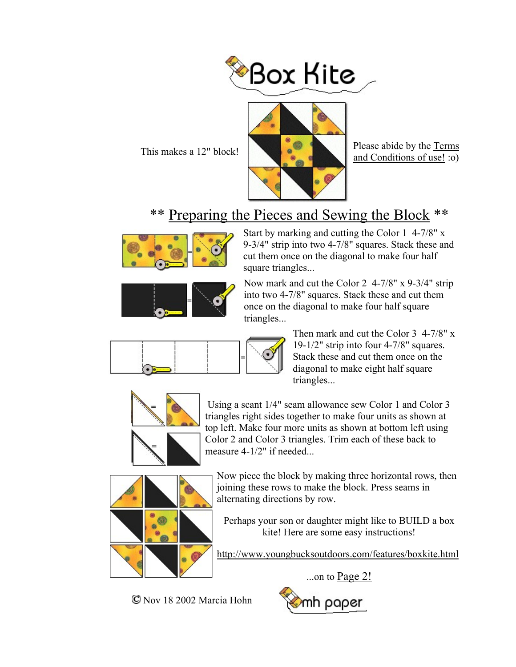



This makes a 12" block! and Conditions of use! :o)

## \*\* Preparing the Pieces and Sewing the Block \*\*



Start by marking and cutting the Color 1 4-7/8" x 9-3/4" strip into two 4-7/8" squares. Stack these and cut them once on the diagonal to make four half square triangles...



Now mark and cut the Color 2 4-7/8" x 9-3/4" strip into two 4-7/8" squares. Stack these and cut them once on the diagonal to make four half square triangles...



Then mark and cut the Color 3 4-7/8" x 19-1/2" strip into four 4-7/8" squares. Stack these and cut them once on the diagonal to make eight half square triangles...



 Using a scant 1/4" seam allowance sew Color 1 and Color 3 triangles right sides together to make four units as shown at top left. Make four more units as shown at bottom left using Color 2 and Color 3 triangles. Trim each of these back to measure 4-1/2" if needed...



Now piece the block by making three horizontal rows, then joining these rows to make the block. Press seams in alternating directions by row.

Perhaps your son or daughter might like to BUILD a box kite! Here are some easy instructions!

http://www.youngbucksoutdoors.com/features/boxkite.html

...on to  $Page 2!$ 



Nov 18 2002 Marcia Hohn